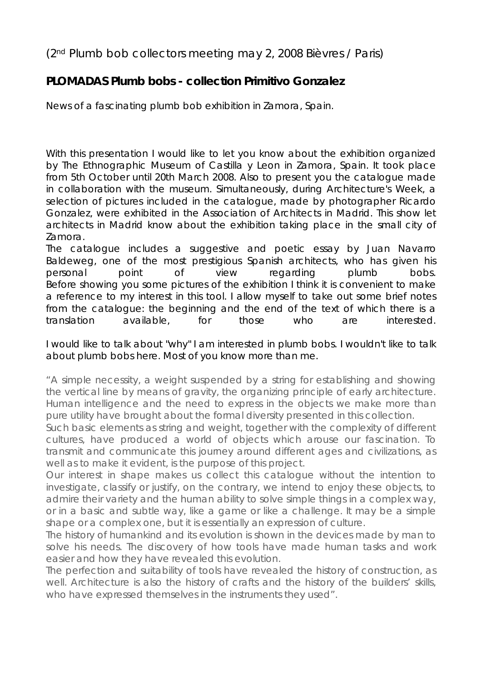## (2nd Plumb bob collectors meeting may 2, 2008 Bièvres / Paris)

## **PLOMADAS** *Plumb bobs* **- collection Primitivo Gonzalez**

News of a fascinating plumb bob exhibition in Zamora, Spain.

With this presentation I would like to let you know about the exhibition organized by The Ethnographic Museum of Castilla y Leon in Zamora, Spain. It took place from 5th October until 20th March 2008. Also to present you the catalogue made in collaboration with the museum. Simultaneously, during Architecture's Week, a selection of pictures included in the catalogue, made by photographer Ricardo Gonzalez, were exhibited in the Association of Architects in Madrid. This show let architects in Madrid know about the exhibition taking place in the small city of Zamora.

The catalogue includes a suggestive and poetic essay by Juan Navarro Baldeweg, one of the most prestigious Spanish architects, who has given his personal point of view regarding plumb bobs. Before showing you some pictures of the exhibition I think it is convenient to make a reference to my interest in this tool. I allow myself to take out some brief notes from the catalogue: the beginning and the end of the text of which there is a translation available, for those who are interested.

I would like to talk about "why" I am interested in plumb bobs. I wouldn't like to talk about plumb bobs here. Most of you know more than me.

"A simple necessity, a weight suspended by a string for establishing and showing the vertical line by means of gravity, the organizing principle of early architecture. Human intelligence and the need to express in the objects we make more than pure utility have brought about the formal diversity presented in this collection.

Such basic elements as string and weight, together with the complexity of different cultures, have produced a world of objects which arouse our fascination. To transmit and communicate this journey around different ages and civilizations, as well as to make it evident, is the purpose of this project.

Our interest in shape makes us collect this catalogue without the intention to investigate, classify or justify, on the contrary, we intend to enjoy these objects, to admire their variety and the human ability to solve simple things in a complex way, or in a basic and subtle way, like a game or like a challenge. It may be a simple shape or a complex one, but it is essentially an expression of culture.

The history of humankind and its evolution is shown in the devices made by man to solve his needs. The discovery of how tools have made human tasks and work easier and how they have revealed this evolution.

The perfection and suitability of tools have revealed the history of construction, as well. Architecture is also the history of crafts and the history of the builders' skills, who have expressed themselves in the instruments they used".